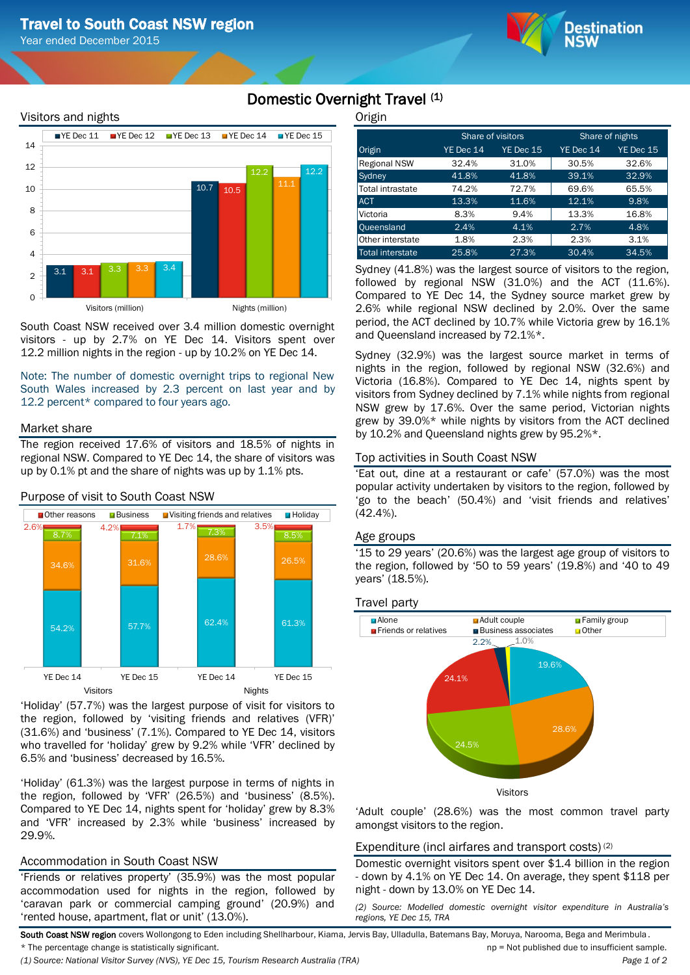Year ended December 2015



# Visitors and nights



South Coast NSW received over 3.4 million domestic overnight visitors - up by 2.7% on YE Dec 14. Visitors spent over 12.2 million nights in the region - up by 10.2% on YE Dec 14.

Note: The number of domestic overnight trips to regional New South Wales increased by 2.3 percent on last year and by 12.2 percent\* compared to four years ago.

## Market share

The region received 17.6% of visitors and 18.5% of nights in regional NSW. Compared to YE Dec 14, the share of visitors was up by 0.1% pt and the share of nights was up by 1.1% pts.



Purpose of visit to South Coast NSW

'Holiday' (57.7%) was the largest purpose of visit for visitors to the region, followed by 'visiting friends and relatives (VFR)' (31.6%) and 'business' (7.1%). Compared to YE Dec 14, visitors who travelled for 'holiday' grew by 9.2% while 'VFR' declined by 6.5% and 'business' decreased by 16.5%.

'Holiday' (61.3%) was the largest purpose in terms of nights in the region, followed by 'VFR' (26.5%) and 'business' (8.5%). Compared to YE Dec 14, nights spent for 'holiday' grew by 8.3% and 'VFR' increased by 2.3% while 'business' increased by 29.9%.

## Accommodation in South Coast NSW

'Friends or relatives property' (35.9%) was the most popular accommodation used for nights in the region, followed by 'caravan park or commercial camping ground' (20.9%) and 'rented house, apartment, flat or unit' (13.0%).

**Origin** 

Domestic Overnight Travel (1)

| - - -               |           |                   |                 |           |  |
|---------------------|-----------|-------------------|-----------------|-----------|--|
|                     |           | Share of visitors | Share of nights |           |  |
| Origin              | YE Dec 14 | YE Dec 15         | YE Dec 14       | YE Dec 15 |  |
| <b>Regional NSW</b> | 32.4%     | 31.0%             | 30.5%           | 32.6%     |  |
| Sydney              | 41.8%     | 41.8%             | 39.1%           | 32.9%     |  |
| Total intrastate    | 74.2%     | 72.7%             | 69.6%           | 65.5%     |  |
| <b>ACT</b>          | 13.3%     | 11.6%             | 12.1%           | 9.8%      |  |
| <b>Victoria</b>     | 8.3%      | 9.4%              | 13.3%           | 16.8%     |  |
| <b>Queensland</b>   | 2.4%      | 4.1%              | 2.7%            | 4.8%      |  |
| Other interstate    | 1.8%      | 2.3%              | 2.3%            | 3.1%      |  |
| Total interstate    | 25.8%     | 27.3%             | 30.4%           | 34.5%     |  |

Sydney (41.8%) was the largest source of visitors to the region, followed by regional NSW (31.0%) and the ACT (11.6%). Compared to YE Dec 14, the Sydney source market grew by 2.6% while regional NSW declined by 2.0%. Over the same period, the ACT declined by 10.7% while Victoria grew by 16.1% and Queensland increased by 72.1%\*.

Sydney (32.9%) was the largest source market in terms of nights in the region, followed by regional NSW (32.6%) and Victoria (16.8%). Compared to YE Dec 14, nights spent by visitors from Sydney declined by 7.1% while nights from regional NSW grew by 17.6%. Over the same period, Victorian nights grew by 39.0%\* while nights by visitors from the ACT declined by 10.2% and Queensland nights grew by 95.2%\*.

## Top activities in South Coast NSW

'Eat out, dine at a restaurant or cafe' (57.0%) was the most popular activity undertaken by visitors to the region, followed by 'go to the beach' (50.4%) and 'visit friends and relatives' (42.4%).

## Age groups

'15 to 29 years' (20.6%) was the largest age group of visitors to the region, followed by '50 to 59 years' (19.8%) and '40 to 49 years' (18.5%).

## Travel party



'Adult couple' (28.6%) was the most common travel party amongst visitors to the region.

## Expenditure (incl airfares and transport costs) (2)

Domestic overnight visitors spent over \$1.4 billion in the region - down by 4.1% on YE Dec 14. On average, they spent \$118 per night - down by 13.0% on YE Dec 14.

*(2) Source: Modelled domestic overnight visitor expenditure in Australia's regions, YE Dec 15, TRA*

South Coast NSW region covers Wollongong to Eden including Shellharbour, Kiama, Jervis Bay, Ulladulla, Batemans Bay, Moruya, Narooma, Bega and Merimbula \* The percentage change is statistically significant. np = Not published due to insufficient sample.